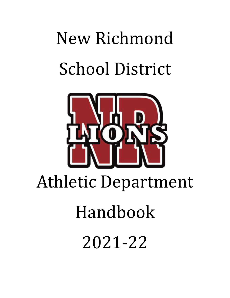# New Richmond School District



2021-22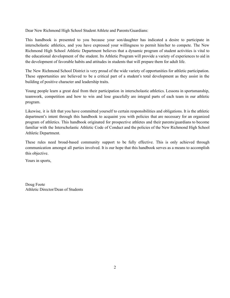Dear New Richmond High School Student Athlete and Parents/Guardians:

This handbook is presented to you because your son/daughter has indicated a desire to participate in interscholastic athletics, and you have expressed your willingness to permit him/her to compete. The New Richmond High School Athletic Department believes that a dynamic program of student activities is vital to the educational development of the student. Its Athletic Program will provide a variety of experiences to aid in the development of favorable habits and attitudes in students that will prepare them for adult life.

The New Richmond School District is very proud of the wide variety of opportunities for athletic participation. These opportunities are believed to be a critical part of a student's total development as they assist in the building of positive character and leadership traits.

Young people learn a great deal from their participation in interscholastic athletics. Lessons in sportsmanship, teamwork, competition and how to win and lose gracefully are integral parts of each team in our athletic program.

Likewise, it is felt that you have committed yourself to certain responsibilities and obligations. It is the athletic department's intent through this handbook to acquaint you with policies that are necessary for an organized program of athletics. This handbook originated for prospective athletes and their parents/guardians to become familiar with the Interscholastic Athletic Code of Conduct and the policies of the New Richmond High School Athletic Department.

These rules need broad-based community support to be fully effective. This is only achieved through communication amongst all parties involved. It is our hope that this handbook serves as a means to accomplish this objective.

Yours in sports,

Doug Foote Athletic Director/Dean of Students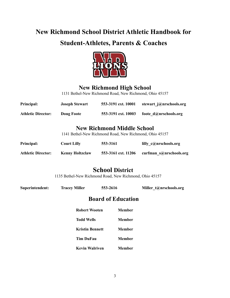# **New Richmond School District Athletic Handbook for Student-Athletes, Parents & Coaches**



## **New Richmond High School**

1131 Bethel-New Richmond Road, New Richmond, Ohio 45157

| <b>Principal:</b>         | <b>Joseph Stewart</b>                                   | 553-3191 ext. 10001               | stewart j@nrschools.org |  |
|---------------------------|---------------------------------------------------------|-----------------------------------|-------------------------|--|
| <b>Athletic Director:</b> | Doug Foote                                              | 553-3191 ext. 10003               | foote d@nrschools.org   |  |
|                           |                                                         | <b>New Richmond Middle School</b> |                         |  |
|                           | 1141 Bethel-New Richmond Road, New Richmond, Ohio 45157 |                                   |                         |  |

| <b>Principal:</b>         | <b>Court Lilly</b>     | 553-3161            | lilly c@nrschools.org   |
|---------------------------|------------------------|---------------------|-------------------------|
| <b>Athletic Director:</b> | <b>Kenny Holtzclaw</b> | 553-3161 ext. 11206 | curfman s@nrschools.org |

## **School District**

1135 Bethel-New Richmond Road, New Richmond, Ohio 45157

| Superintendent: | <b>Tracey Miller</b> | 553-2616 | Miller_t@nrschools.org |
|-----------------|----------------------|----------|------------------------|
|                 |                      |          |                        |

## **Board of Education**

| <b>Robert Wooten</b>   | <b>Member</b> |
|------------------------|---------------|
| <b>Todd Wells</b>      | Member        |
| <b>Kristin Bennett</b> | Member        |
| <b>Tim DuFau</b>       | Member        |
| <b>Kevin Walriven</b>  | <b>Member</b> |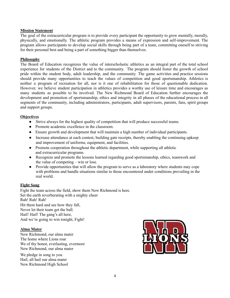#### **Mission Statement**

The goal of the extracurricular program is to provide every participant the opportunity to grow mentally, morally, physically, and emotionally. The athletic program provides a means of expression and self-improvement. The program allows participants to develop social skills through being part of a team, committing oneself to striving for their personal best and being a part of something bigger than themselves.

#### **Philosophy**

The Board of Education recognizes the value of interscholastic athletics as an integral part of the total school experience for students of the District and to the community. The program should foster the growth of school pride within the student body, adult leadership, and the community. The game activities and practice sessions should provide many opportunities to teach the values of competition and good sportsmanship. Athletics is neither a program of recreation for all, nor is it one of rehabilitation for those of questionable dedication. However, we believe student participation in athletics provides a worthy use of leisure time and encourages as many students as possible to be involved. The New Richmond Board of Education further encourages the development and promotion of sportsmanship, ethics and integrity in all phases of the educational process in all segments of the community, including administrators, participants, adult supervisors, parents, fans, spirit groups and support groups.

#### **Objectives**

- Strive always for the highest quality of competition that will produce successful teams.
- Promote academic excellence in the classroom.
- Ensure growth and development that will maintain a high number of individual participants.
- Increase attendance at each contest, building gate receipts, thereby enabling the continuing upkeep and improvement of uniforms, equipment, and facilities.
- Promote cooperation throughout the athletic department, while supporting all athletic and extracurricular programs.
- Recognize and promote the lessons learned regarding good sportsmanship, ethics, teamwork and the value of competing – win or lose.
- Provide opportunities that will allow the program to serve as a laboratory where students may cope with problems and handle situations similar to those encountered under conditions prevailing in the real world.

#### **Fight Song**

Fight the team across the field, show them New Richmond is here. Set the earth reverberating with a mighty cheer Rah! Rah! Rah! Hit them hard and see how they fall, Never let their team get the ball. Hail! Hail! The gang's all here, And we're going to win tonight, Fight!

#### **Alma Mater**

New Richmond, our alma mater The home where Lions roar We of thy honor, everlasting, evermore New Richmond, our alma mater

We pledge in song to you Hail, all hail our alma mater New Richmond High School

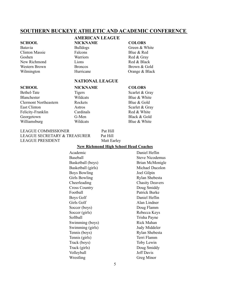#### **SOUTHERN BUCKEYE ATHLETIC AND ACADEMIC CONFERENCE**

Clinton Massie Falcons Blue & Red Goshen Warriors Red & Gray New Richmond Lions Lions Red & Black Western Brown Broncos Broncos Brown & Gold

#### **AMERICAN LEAGUE**

#### **SCHOOL NICKNAME COLORS**

Batavia Bulldogs Green & White Wilmington **Hurricane Hurricane Orange & Black** 

#### **NATIONAL LEAGUE**

Bethel-Tate Tigers Tigers Scarlet & Gray Blanchester Wildcats Blue & White Clermont Northeastern Rockets Blue & Gold East Clinton **Astros** Astros Scarlet & Gray Felicity-Franklin Cardinals Cardinals Red & White Georgetown G-Men Black & Gold Williamsburg **Williams** Wildcats **Blue & White** 

#### **SCHOOL NICKNAME COLORS**

#### LEAGUE COMMISSIONER Pat Hill LEAGUE SECRETARY & TREASURER Pat Hill LEAGUE PRESIDENT Matt Earley

#### **New Richmond High School Head Coaches**

Academic Daniel Heflin Baseball Steve Nicodemus Basketball (boys) Brian McMonigle Basketball (girls) Michael Ducolon Boys Bowling Joel Gilpin Girls Bowling Rylan Shebesta Cheerleading Chasity Deavers Cross Country Doug Smiddy Football Patrick Burke Boys Golf Daniel Heflin Girls Golf Alan Lindner Soccer (boys) Doug Flamm Soccer (girls) Rebecca Keys Softball Trisha Payne Swimming (boys) Rick Mahan Swimming (girls) Judy Middeler Tennis (boys) Rylan Shebesta Tennis (girls) Terri Flamm Track (boys) Toby Lewin Track (girls) Doug Smiddy Volleyball Jeff Davis Wrestling Greg Minor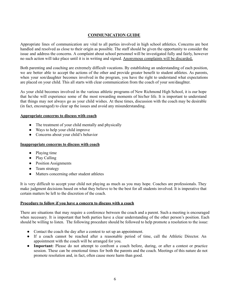#### **COMMUNICATION GUIDE**

Appropriate lines of communication are vital to all parties involved in high school athletics. Concerns are best handled and resolved as close to their origin as possible. The staff should be given the opportunity to consider the issue and address the concerns. A complaint about school personnel will be investigated fully and fairly, however no such action will take place until it is in writing and signed. Anonymous complaints will be discarded**.**

Both parenting and coaching are extremely difficult vocations. By establishing an understanding of each position, we are better able to accept the actions of the other and provide greater benefit to student athletes. As parents, when your son/daughter becomes involved in the program, you have the right to understand what expectations are placed on your child. This all starts with clear communication from the coach of your son/daughter.

As your child becomes involved in the various athletic programs of New Richmond High School, it is our hope that he/she will experience some of the most rewarding moments of his/her life. It is important to understand that things may not always go as your child wishes. At these times, discussion with the coach may be desirable (in fact, encouraged) to clear up the issues and avoid any misunderstanding.

#### **Appropriate concerns to discuss with coach**

- The treatment of your child mentally and physically
- Ways to help your child improve
- Concerns about your child's behavior

#### **Inappropriate concerns to discuss with coach**

- Playing time
- Play Calling
- Position Assignments
- Team strategy
- Matters concerning other student athletes

It is very difficult to accept your child not playing as much as you may hope. Coaches are professionals. They make judgment decisions based on what they believe to be the best for all students involved. It is imperative that certain matters be left to the discretion of the coach.

#### **Procedure to follow if you have a concern to discuss with a coach**

There are situations that may require a conference between the coach and a parent. Such a meeting is encouraged when necessary. It is important that both parties have a clear understanding of the other person's position. Each should be willing to listen. The following procedure should be followed to help promote a resolution to the issue:

- Contact the coach the day after a contest to set up an appointment.
- If a coach cannot be reached after a reasonable period of time, call the Athletic Director. An appointment with the coach will be arranged for you.
- **Important:** Please do not attempt to confront a coach before, during, or after a contest or practice session. These can be emotional times for both the parents and the coach. Meetings of this nature do not promote resolution and, in fact, often cause more harm than good.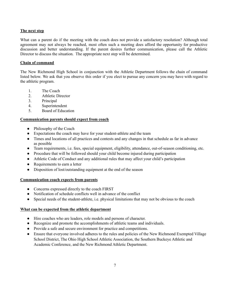#### **The next step**

What can a parent do if the meeting with the coach does not provide a satisfactory resolution? Although total agreement may not always be reached, most often such a meeting does afford the opportunity for productive discussion and better understanding. If the parent desires further communication, please call the Athletic Director to discuss the situation. The appropriate next step will be determined.

#### **Chain of command**

The New Richmond High School in conjunction with the Athletic Department follows the chain of command listed below. We ask that you observe this order if you elect to pursue any concern you may have with regard to the athletic program.

- 1. The Coach
- 2. Athletic Director
- 3. Principal
- 4. Superintendent
- 5. Board of Education

#### **Communication parents should expect from coach**

- Philosophy of the Coach
- Expectations the coach may have for your student-athlete and the team
- Times and locations of all practices and contests and any changes in that schedule as far in advance as possible
- Team requirements, i.e. fees, special equipment, eligibility, attendance, out-of-season conditioning, etc.
- Procedure that will be followed should your child become injured during participation
- Athletic Code of Conduct and any additional rules that may affect your child's participation
- Requirements to earn a letter
- Disposition of lost/outstanding equipment at the end of the season

#### **Communication coach expects from parents**

- Concerns expressed directly to the coach FIRST
- Notification of schedule conflicts well in advance of the conflict
- Special needs of the student-athlete, i.e. physical limitations that may not be obvious to the coach

#### **What can be expected from the athletic department**

- Hire coaches who are leaders, role models and persons of character.
- Recognize and promote the accomplishments of athletic teams and individuals.
- Provide a safe and secure environment for practice and competitions.
- Ensure that everyone involved adheres to the rules and policies of the New Richmond Exempted Village School District, The Ohio High School Athletic Association, the Southern Buckeye Athletic and Academic Conference, and the New Richmond Athletic Department.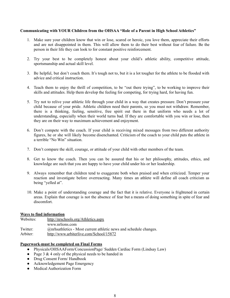#### **Communicating with YOUR Children from the OHSAA "Role of a Parent in High School Athletics"**

- 1. Make sure your children know that win or lose, scared or heroic, you love them, appreciate their efforts and are not disappointed in them. This will allow them to do their best without fear of failure. Be the person in their life they can look to for constant positive reinforcement.
- 2. Try your best to be completely honest about your child's athletic ability, competitive attitude, sportsmanship and actual skill level.
- 3. Be helpful, but don't coach them. It's tough not to, but it is a lot tougher for the athlete to be flooded with advice and critical instruction.
- 4. Teach them to enjoy the thrill of competition, to be "out there trying", to be working to improve their skills and attitudes. Help them develop the feeling for competing, for trying hard, for having fun.
- 5. Try not to relive your athletic life through your child in a way that creates pressure. Don't pressure your child because of your pride. Athletic children need their parents, so you must not withdraw. Remember, there is a thinking, feeling, sensitive, free spirit out there in that uniform who needs a lot of understanding, especially when their world turns bad. If they are comfortable with you win or lose, then they are on their way to maximum achievement and enjoyment.
- 6. Don't compete with the coach. If your child is receiving mixed messages from two different authority figures, he or she will likely become disenchanted. Criticism of the coach to your child puts the athlete in a terrible "No Win" situation.
- 7. Don't compare the skill, courage, or attitude of your child with other members of the team.
- 8. Get to know the coach. Then you can be assured that his or her philosophy, attitudes, ethics, and knowledge are such that you are happy to have your child under his or her leadership.
- 9. Always remember that children tend to exaggerate both when praised and when criticized. Temper your reaction and investigate before overreacting. Many times an athlete will define all coach criticism as being "yelled at".
- 10. Make a point of understanding courage and the fact that it is relative. Everyone is frightened in certain areas. Explain that courage is not the absence of fear but a means of doing something in spite of fear and discomfort.

#### **Ways to find information**

| Websites: | http://nrschools.org/Athletics.aspx                               |
|-----------|-------------------------------------------------------------------|
|           | www.nrlions.com                                                   |
| Twitter:  | @nrhsathletics - Most current athletic news and schedule changes. |
| Arbiter:  | http://www.arbiterlive.com/School/15872                           |

#### **Paperwork must be completed on Final Forms**

- Physicals/OHSAAForm/ConcussionPage/ Sudden Cardiac Form (Lindsay Law)
- Page 3  $&$  4 only of the physical needs to be handed in
- Drug Consent Form/ Handbook
- Acknowledgement Page Emergency
- Medical Authorization Form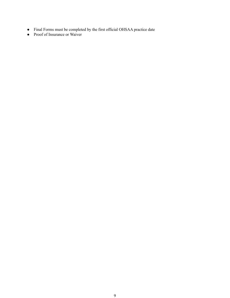- Final Forms must be completed by the first official OHSAA practice date
- Proof of Insurance or Waiver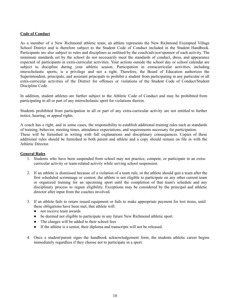#### **Code of Conduct**

As a member of a New Richmond athletic team, an athlete represents the New Richmond Exempted Village School District and is therefore subject to the Student Code of Conduct included in the Student Handbook. Participants are also subject to rules and disciplines as outlined by the coach/advisor/sponsor of each activity. The minimum standards set by the school do not necessarily meet the standards of conduct, dress, and appearance expected of participants in extra-curricular activities. Your actions outside the school day or school calendar are subject to discipline during your athletic season. Participation in extracurricular activities, including interscholastic sports, is a privilege and not a right. Therefore, the Board of Education authorizes the Superintendent, principals, and assistant principals to prohibit a student from participating in any particular or all extra-curricular activities of the District for offenses or violations of the Student Code of Conduct/Student Discipline Code.

In addition, student athletes are further subject to the Athletic Code of Conduct and may be prohibited from participating in all or part of any interscholastic sport for violations therein.

Students prohibited from participation in all or part of any extra-curricular activity are not entitled to further notice, hearing, or appeal rights.

A coach has a right, and in some cases, the responsibility to establish additional training rules such as standards of training, behavior, meeting times, attendance expectations, and requirements necessary for participation. These will be furnished in writing with full explanations and disciplinary consequences. Copies of these additional rules should be furnished to both parent and athlete and a copy should remain on file in with the Athletic Director.

#### **General Rules**

- 1. Students who have been suspended from school may not practice, compete, or participate in an extracurricular activity or team-related activity while serving school suspension.
- 2. If an athlete is dismissed because of a violation of a team rule, or the athlete should quit a team after the first scheduled scrimmage or contest, the athlete is not eligible to participate on any other current team or organized training for an upcoming sport until the completion of that team's schedule and any disciplinary process to regain eligibility. Exceptions may be considered by the principal and athletic director after input from the coaches involved.
- 3. If an athlete fails to return issued equipment or fails to make appropriate payment for lost items, until these obligations have been met, that athlete will:
	- not receive team awards
	- be deemed not eligible to participate in any future New Richmond athletic sport.
	- The charges will be added to their school fees
	- If the athlete is a senior, their diploma and transcripts will not be released.
- 4. Once a student/parent signs the handbook acknowledgement form, the students athletic career begins immediately regardless if they choose not to participate in a sport.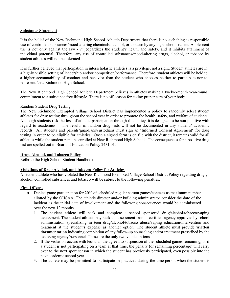#### **Substance Statement**

It is the belief of the New Richmond High School Athletic Department that there is no such thing as responsible use of controlled substances/mood-altering chemicals, alcohol, or tobacco by any high school student. Adolescent use is not only against the law - it jeopardizes the student's health and safety, and it inhibits attainment of individual potential. Therefore, any use of controlled substances/mood-altering drugs, alcohol, or tobacco by student athletes will not be tolerated.

It is further believed that participation in interscholastic athletics is a privilege, not a right. Student athletes are in a highly visible setting of leadership and/or competition/performance. Therefore, student athletes will be held to a higher accountability of conduct and behavior than the student who chooses neither to participate nor to represent New Richmond High School.

The New Richmond High School Athletic Department believes in athletes making a twelve-month year-round commitment to a substance free lifestyle. There is no off-season for taking proper care of your body.

#### Random Student Drug Testing:

The New Richmond Exempted Village School District has implemented a policy to randomly select student athletes for drug testing throughout the school year in order to promote the health, safety, and welfare of students. Although students risk the loss of athletic participation through this policy, it is designed to be non-punitive with regard to academics. The results of random drug tests will not be documented in any students' academic records. All students and parents/guardians/custodians must sign an "Informed Consent Agreement" for drug testing in order to be eligible for athletics. Once a signed form is on file with the district, it remains valid for all athletics while the student remains enrolled at New Richmond High School. The consequences for a positive drug test are spelled out in Board of Education Policy 2431.01.

#### **Drug, Alcohol, and Tobacco Policy**

Refer to the High School Student Handbook.

#### **Violations of Drug Alcohol, and Tobacco Policy for Athletes**

A student athlete who has violated the New Richmond Exempted Village School District Policy regarding drugs, alcohol, controlled substances and tobacco will be subject to the following penalties:

#### **First Offense**

- Denied game participation for 20% of scheduled regular season games/contests as maximum number allotted by the OHSAA. The athletic director and/or building administrator consider the date of the incident as the initial date of involvement and the following consequences would be administered over the next 12 months.
	- 1. The student athlete will seek and complete a school sponsored drug/alcohol/tobacco/vaping assessment. The student athlete may seek an assessment from a certified agency approved by school administration specializing in teen drug/alcohol/tobacco abuse/vaping education/intervention and treatment at the student's expense as another option. The student athlete must provide **written documentation** indicating completion of any follow-up counseling and/or treatment prescribed by the assessing agency/personnel. These are the only two viable options.
	- 2. If the violation occurs with less than the agreed to suspension of the scheduled games remaining, or if a student is not participating on a team at that time, the penalty (or remaining percentage) will carry over to the next sport season in which the student has previously participated, even possibly into the next academic school year.
	- 3. The athlete may be permitted to participate in practices during the time period when the student is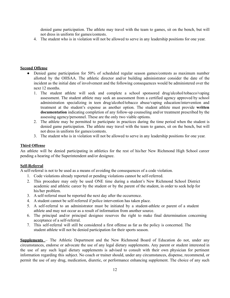denied game participation. The athlete may travel with the team to games, sit on the bench, but will not dress in uniform for games/contests.

4. The student who is in violation will not be allowed to serve in any leadership positions for one year.

#### **Second Offense**

- Denied game participation for 50% of scheduled regular season games/contests as maximum number allotted by the OHSAA. The athletic director and/or building administrator consider the date of the incident as the initial date of involvement and the following consequences would be administered over the next 12 months.
	- 1. The student athlete will seek and complete a school sponsored drug/alcohol/tobacco/vaping assessment. The student athlete may seek an assessment from a certified agency approved by school administration specializing in teen drug/alcohol/tobacco abuse/vaping education/intervention and treatment at the student's expense as another option. The student athlete must provide **written documentation** indicating completion of any follow-up counseling and/or treatment prescribed by the assessing agency/personnel. These are the only two viable options.
	- 2. The athlete may be permitted to participate in practices during the time period when the student is denied game participation. The athlete may travel with the team to games, sit on the bench, but will not dress in uniform for games/contests.
	- 3. The student who is in violation will not be allowed to serve in any leadership positions for one year.

#### **Third Offense**

An athlete will be denied participating in athletics for the rest of his/her New Richmond High School career pending a hearing of the Superintendent and/or designee.

#### **Self-Referral**

A self-referral is not to be used as a means of avoiding the consequences of a code violation.

- 1. Code violations already reported or pending violations cannot be self-referred.
- 2. This procedure may only be used ONE time during a student's New Richmond School District academic and athletic career by the student or by the parent of the student, in order to seek help for his/her problem.
- 3. A self-referral must be reported the next day after the occurrence.
- 4. A student cannot be self-referred if police intervention has taken place.
- 5. A self-referral to an administrator must be initiated by a student-athlete or parent of a student athlete and may not occur as a result of information from another source.
- 6. The principal and/or principal designee reserves the right to make final determination concerning acceptance of a self-referral.
- 7. This self-referral will still be considered a first offense as far as the policy is concerned. The student athlete will not be denied participation for their sports season.

**Supplements** – The Athletic Department and the New Richmond Board of Education do not, under any circumstances, endorse or advocate the use of any legal dietary supplements. Any parent or student interested in the use of any such legal dietary supplements is advised to consult with their own physician for pertinent information regarding this subject. No coach or trainer should, under any circumstances, dispense, recommend, or permit the use of any drug, medication, diuretic, or performance enhancing supplement. The choice of any such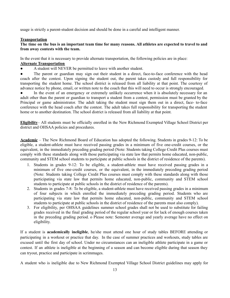usage is strictly a parent-student decision and should be done in a careful and intelligent manner.

#### **Transportation**

#### The time on the bus is an important team time for many reasons. All athletes are expected to travel to and **from away contests with the team.**

In the event that it is necessary to provide alternate transportation, the following policies are in place:

#### **Alternate Transportation**

A student will NEVER be permitted to leave with another student.

• The parent or guardian may sign out their student in a direct, face-to-face conference with the head coach after the contest. Upon signing the student out, the parent takes custody and full responsibility for transporting the student home. The school district is released from all liability at that point. The courtesy of advance notice by phone, email, or written note to the coach that this will need to occur is strongly encouraged.

In the event of an emergency or extremely unlikely occurrence when it is absolutely necessary for an adult other than the parent or guardian to transport a student from a contest, permission must be granted by the Principal or game administrator. The adult taking the student must sign them out in a direct, face- to-face conference with the head coach after the contest. The adult takes full responsibility for transporting the student home or to another destination. The school district is released from all liability at that point.

**Eligibility**– All students must be officially enrolled in the New Richmond Exempted Village School District per district and OHSAA policies and procedures.

**Academic** – The New Richmond Board of Education has adopted the following. Students in grades 9-12: To be eligible, a student-athlete must have received passing grades in a minimum of five one-credit courses, or the equivalent, in the immediately preceding grading period (Note: Students taking College Credit Plus courses must comply with these standards along with those participating via state law that permits home educated, non-public, community and STEM school students to participate at public schools in the district of residence of the parents).

- 1. Students in grades 9-12: To be eligible, a student-athlete must have received passing grades in a minimum of five one-credit courses, or the equivalent, in the immediately preceding grading period (Note: Students taking College Credit Plus courses must comply with these standards along with those participating via state law that permits home educated, non-public, community and STEM school students to participate at public schools in the district of residence of the parents).
- 2. Students in grades 7-8: To be eligible, a student-athlete must have received passing grades in a minimum of four subjects in which enrolled the immediately preceding grading period. Students who are participating via state law that permits home educated, non-public, community and STEM school students to participate at public schools in the district of residence of the parents must also comply).
- 3. For eligibility, per OHSAA guidelines summer school grades shall not be used to substitute for failing grades received in the final grading period of the regular school year or for lack of enough courses taken in the preceding grading period. o Please note: Semester average and yearly average have no effect on eligibility.

If a student is **academically ineligible**, he/she must attend one hour of study tables BEFORE attending or participating in a workout or practice that day. In the case of summer practices and workouts, study tables are excused until the first day of school. Under no circumstances can an ineligible athlete participate in a game or contest. If an athlete is ineligible at the beginning of a season and can become eligible during that season they can tryout, practice and participate in scrimmages.

A student who is ineligible due to New Richmond Exempted Village School District guidelines may apply for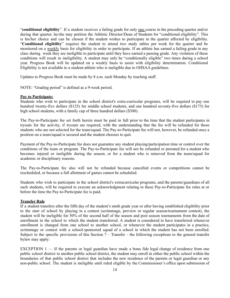"**conditional eligibility**". If a student receives a failing grade for only one course in the preceding quarter and/or during that quarter, he/she may petition the Athletic Director/Dean of Students for "conditional eligibility". This is his/her choice and can be chosen if the student wishes to participate in the quarter affected by eligibility. "**Conditional eligibility**" requires the student to attend two study tables per week for the quarter and be monitored on a weekly basis for eligibility in order to participate. If an athlete has earned a failing grade in any class during week they are ineligible to participate until they have earned a passing grade. Any violation of these conditions will result in ineligibility. A student may only be "conditionally eligible" two times during a school year. Progress Book will be updated on a weekly basis to assist with eligibility determination. Conditional Eligibility is not available to a student-athlete who is ineligible due to OHSAA guidelines.

Updates to Progress Book must be made by 8 a.m. each Monday by teaching staff.

NOTE: "Grading period" is defined as a 9-week period.

#### **Pay to Participate:**

Students who wish to participate in the school district's extra-curricular programs, will be required to pay one hundred twenty-five dollars (\$125) for middle school students, and one hundred seventy-five dollars (\$175) for high school students, with a family cap of three hundred dollars (\$300).

The Pay-to-Participate fee set forth herein must be paid in full prior to the time that the student participates in tryouts for the activity, if tryouts are required, with the understanding that the fee will be refunded for those students who are not selected for the team/squad. The Pay-to-Participate fee will not, however, be refunded once a position on a team/squad is secured and the student chooses to quit.

Payment of the Pay-to-Participate fee does not guarantee any student playing/participation time or control over the conditions of the team or program. The Pay-to-Participate fee will not be refunded or prorated for a student who becomes injured or ineligible during the season, or for a student who is removed from the team/squad for academic or disciplinary reasons.

The Pay-to-Participate fee also will not be refunded because cancelled events or competitions cannot be rescheduled, or because a full allotment of games cannot be scheduled.

Students who wish to participate in the school district's extracurricular programs, and the parents/guardians of all such students, will be required to execute an acknowledgment relating to these Pay-to-Participate fee rules at or before the time the Pay-to-Participate fee is paid.

#### **Transfer Rule**

If a student transfers after the fifth day of the student's ninth grade year or after having established eligibility prior to the start of school by playing in a contest (scrimmage, preview or regular season/tournament contest), the student will be ineligible for 50% of the second half of the season and post season tournaments from the date of enrollment in the school to which the student transferred. A student is considered to have transferred whenever enrollment is changed from one school to another school, or whenever the student participates in a practice, scrimmage or contest with a school-sponsored squad of a school in which the student has not been enrolled. Subject to the specific provisions of this Section  $\overline{7}$  – Transfer – the following exceptions to the general transfer bylaw may apply:

EXCEPTION  $1 -$  If the parents or legal guardian have made a bona fide legal change of residence from one public school district to another public school district, the student may enroll in either the public school within the boundaries of that public school district that includes the new residence of the parents or legal guardian or any non-public school. The student is ineligible until ruled eligible by the Commissioner's office upon submission of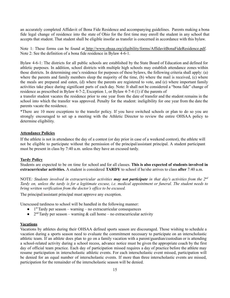an accurately completed Affidavit of Bona Fide Residence and accompanying guidelines. Parents making a bona fide legal change of residence into the state of Ohio for the first time may enroll the student in any school that accepts that student. That student shall be eligible insofar as transfer is concerned in accordance with this bylaw.

Note 1: These forms can be found at <http://www.ohsaa.org/eligibility/forms/AffidavitBonaFideResidence.pdf>. Note 2: See the definition of a bona fide residence in Bylaw 4-6-1.

Bylaw 4-6-1: The districts for all public schools are established by the State Board of Education and defined for athletic purposes. In addition, school districts with multiple high schools may establish attendance zones within those districts. In determining one's residence for purposes of these bylaws, the following criteria shall apply: (a) where the parents and family members sleep the majority of the time, (b) where the mail is received, (c) where the meals are prepared and eaten, (d) where the parents are registered to vote, and (e) where important family activities take place during significant parts of each day. Note: It shall not be considered a "bona fide" change of residence as prescribed in Bylaw 4-7-2, Exception 1, or Bylaw 4-7-4 (1) if the parents of

a transfer student vacates the residence prior to one year from the date of transfer and the student remains in the school into which the transfer was approved. Penalty for the student: ineligibility for one year from the date the parents vacate the residence.

\*There are 10 more exceptions to the transfer policy. If you have switched schools or plan to do so you are strongly encouraged to set up a meeting with the Athletic Director to review the entire OHSAA policy to determine eligibility.

#### **Attendance Policies**

If the athlete is not in attendance the day of a contest (or day prior in case of a weekend contest), the athlete will not be eligible to participate without the permission of the principal/assistant principal. A student participant must be present in class by 7:40 a.m. unless they have an excused tardy.

#### **Tardy Policy**

Students are expected to be on time for school and for all classes. **This is also expected of students involved in extracurricular activities.** A student is considered **TARDY** to school if he/she arrives to class **after** 7:40 a.m.

NOTE: Students involved in extracurricular activities **may not participate** in that day's activities from the 2<sup>nd</sup> Tardy on, unless the tardy is for a legitimate excuse, *i.e.* medical appointment or funeral. The student needs to *bring written verification from the doctor's of ice to be excused.*

The principal/assistant principal must approve any exception.

Unexcused tardiness to school will be handled in the following manner:

- $\bullet$  1<sup>st</sup> Tardy per season warning no extracurricular consequences
- $2<sup>nd</sup>$  Tardy per season warning & call home no extracurricular activity

#### **Vacations**

Vacations by athletes during their OHSAA defined sports season are discouraged. Those wishing to schedule a vacation during a sports season need to evaluate the commitment necessary to participate on an interscholastic athletic team. If an athlete does plan to go on a family vacation with a parent/guardian/custodian or is attending a school-related activity during a school recess, advance notice must be given the appropriate coach by the first day of official team practice. Each day of participation missed requires a day of practice before the athlete may resume participation in interscholastic athletic events. For each interscholastic event missed, participation will be denied for an equal number of interscholastic events. If more than three interscholastic events are missed, participation for the remainder of the interscholastic season will be denied.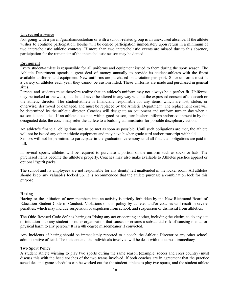#### **Unexcused absence**

Not going with a parent/guardian/custodian or with a school-related group is an unexcused absence. If the athlete wishes to continue participation, he/she will be denied participation immediately upon return in a minimum of two interscholastic athletic contests. If more than two interscholastic events are missed due to this absence, participation for the remainder of the interscholastic season may be denied.

#### **Equipment**

Every student-athlete is responsible for all uniforms and equipment issued to them during the sport season. The Athletic Department spends a great deal of money annually to provide its student-athletes with the finest available uniforms and equipment. New uniforms are purchased on a rotation per sport. Since uniforms must fit a variety of athletes each year, they cannot be custom fitted. These uniforms are made and purchased in general sizes.

Parents and students must therefore realize that an athlete's uniform may not always be a perfect fit. Uniforms may be tucked at the waist, but should never be altered in any way without the expressed consent of the coach or the athletic director. The student-athlete is financially responsible for any items, which are lost, stolen, or otherwise, destroyed or damaged, and must be replaced by the Athletic Department. The replacement cost will be determined by the athletic director. Coaches will designate an equipment and uniform turn in day when a season is concluded. If an athlete does not, within good reason, turn his/her uniform and/or equipment in by the designated date, the coach may refer the athlete to a building administrator for possible disciplinary action.

An athlete's financial obligations are to be met as soon as possible. Until such obligations are met, the athlete will not be issued any other athletic equipment and may have his/her grade card and/or transcript withheld. Seniors will not be permitted to participate in the graduation ceremony until all financial obligations are paid in full.

In several sports, athletes will be required to purchase a portion of the uniform such as socks or hats. The purchased items become the athlete's property. Coaches may also make available to Athletes practice apparel or optional "spirit packs".

The school and its employees are not responsible for any item(s) left unattended in the locker room. All athletes should keep any valuables locked up. It is recommended that the athlete purchase a combination lock for this purpose.

#### **Hazing**

Hazing or the initiation of new members into an activity is strictly forbidden by the New Richmond Board of Education Student Code of Conduct. Violations of this policy by athletes and/or coaches will result in severe penalties, which may include suspension or expulsion from school, and suspension or dismissal from athletics.

The Ohio Revised Code defines hazing as "doing any act or coercing another, including the victim, to do any act of initiation into any student or other organization that causes or creates a substantial risk of causing mental or physical harm to any person." It is a 4th degree misdemeanor if convicted.

Any incidents of hazing should be immediately reported to a coach, the Athletic Director or any other school administrative official. The incident and the individuals involved will be dealt with the utmost immediacy.

#### **Two Sport Policy**

A student athlete wishing to play two sports during the same season (example: soccer and cross country) must discuss this with the head coaches of the two teams involved. If both coaches are in agreement that the practice schedules and game schedules can be worked out for the student-athlete to play two sports, and the student athlete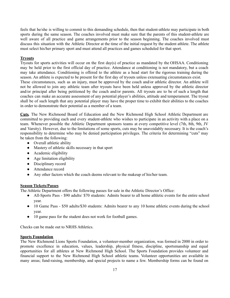feels that he/she is willing to commit to this demanding schedule, then that student-athlete may participate in both sports during the same season. The coaches involved must make sure that the parents of this student-athlete are well aware of all practice and game arrangements prior to the season beginning. The coaches involved must discuss this situation with the Athletic Director at the time of the initial request by the student athlete. The athlete must select his/her primary sport and must attend all practices and games scheduled for that sport.

#### **Tryouts**

Tryouts for sports activities will occur on the first day(s) of practice as mandated by the OHSAA. Conditioning may be held prior to the first official day of practice. Attendance at conditioning is not mandatory, but a coach may take attendance. Conditioning is offered to the athlete as a head start for the rigorous training during the season. An athlete is expected to be present for the first day of tryouts unless extenuating circumstances exist. These circumstances, such as an injury, must be approved by the coach and/or athletic director. An athlete will not be allowed to join any athletic team after tryouts have been held unless approved by the athletic director and/or principal after being petitioned by the coach and/or parents. All tryouts are to be of such a length that coaches can make an accurate assessment of any potential player's abilities, attitude and temperament. The tryout shall be of such length that any potential player may have the proper time to exhibit their abilities to the coaches in order to demonstrate their potential as a member of a team.

**Cuts***.* The New Richmond Board of Education and the New Richmond High School Athletic Department are committed to providing each and every student-athlete who wishes to participate in an activity with a place on a team. Whenever possible the Athletic Department sponsors teams at every competitive level (7th, 8th, 9th, JV and Varsity). However, due to the limitations of some sports, cuts may be unavoidably necessary. It is the coach's responsibility to determine who may be denied participation privileges. The criteria for determining "cuts" may be taken from the following:

- Overall athletic ability
- Mastery of athletic skills necessary in that sport
- Academic eligibility
- Age limitation eligibility
- Disciplinary record
- Attendance record
- Any other factors which the coach deems relevant to the makeup of his/her team.

#### **Season Tickets/Passes**

The Athletic Department offers the following passes for sale in the Athletic Director's Office:

- All-Sports Pass \$90 adults/ \$70 students: Admits bearer to all home athletic events for the entire school year.
- 10 Game Pass \$50 adults/\$30 students: Admits bearer to any 10 home athletic events during the school year.
- 10 game pass for the student does not work for football games.

Checks can be made out to NRHS Athletics.

#### **Sports Foundation**

The New Richmond Lions Sports Foundation, a volunteer-member organization, was formed in 2000 in order to promote excellence in education, values, leadership, physical fitness, discipline, sportsmanship and equal opportunities for all athletes at New Richmond High School. The Sports Foundation provides volunteer and financial support to the New Richmond High School athletic teams. Volunteer opportunities are available in many areas; fund-raising, membership, and special projects to name a few. Membership forms can be found on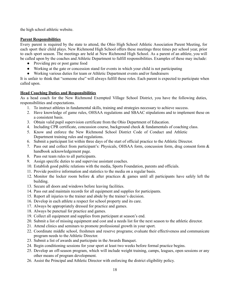the high school athletic website.

#### **Parent Responsibilities**

Every parent is required by the state to attend, the Ohio High School Athletic Association Parent Meeting, for each sport their child plays. New Richmond High School offers these meetings three times per school year, prior to each sport season. The meetings are held at New Richmond High School. As a parent of an athlete, you will be called upon by the coaches and Athletic Department to fulfill responsibilities. Examples of these may include:

- Providing pre or post game food
- Working at the gate or concession stand for events in which your child is not participating
- Working various duties for team or Athletic Department events and/or fundraisers

It is unfair to think that "someone else" will always fulfill these roles. Each parent is expected to participate when called upon.

#### **Head Coaching Duties and Responsibilities**

As a head coach for the New Richmond Exempted Village School District, you have the following duties, responsibilities and expectations.

- 1. To instruct athletes in fundamental skills, training and strategies necessary to achieve success.
- 2. Have knowledge of game rules, OHSAA regulations and SBAAC stipulations and to implement these on a consistent basis.
- 3. Obtain valid pupil supervision certificate from the Ohio Department of Education.
- 4. Including CPR certificate, concussion course, background check & fundamentals of coaching class.
- 5. Know and enforce the New Richmond School District Code of Conduct and Athletic Department training rules and regulations.
- 6. Submit a participant list within three days of the start of official practice to the Athletic Director.
- 7. Pass out and collect from participant's: Physicals, OHSAA form, concussion form, drug consent form & handbook acknowledgement page.
- 8. Pass out team rules to all participants.
- 9. Assign specific duties to and supervise assistant coaches.
- 10. Establish good public relations with the media, Sports Foundation, parents and officials.
- 11. Provide positive information and statistics to the media on a regular basis.
- 12. Monitor the locker room before  $\&$  after practices  $\&$  games until all participants have safely left the building.
- 13. Secure all doors and windows before leaving facilities.
- 14. Pass out and maintain records for all equipment and supplies for participants.
- 15. Report all injuries to the trainer and abide by the trainer's decision.
- 16. Develop in each athlete a respect for school property and its care.
- 17. Always be appropriately dressed for practice and games.
- 18. Always be punctual for practice and games.
- 19. Collect all equipment and supplies from participant at season's end.
- 20. Submit a list of missing equipment and cost and a needs list for the next season to the athletic director.
- 21. Attend clinics and seminars to promote professional growth in your sport.
- 22. Coordinate middle school, freshmen and reserve programs; evaluate their effectiveness and communicate program needs to the Athletic Director.
- 23. Submit a list of awards and participate in the Awards Banquet.
- 24. Begin conditioning sessions for your sport at least two weeks before formal practice begins.
- 25. Develop an off-season program, which will include weight training, camps, leagues, open sessions or any other means of program development.
- 26. Assist the Principal and Athletic Director with enforcing the district eligibility policy.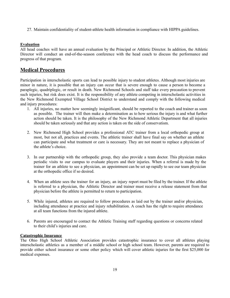27. Maintain confidentiality of student-athlete health information in compliance with HIPPA guidelines.

#### **Evaluation**

All head coaches will have an annual evaluation by the Principal or Athletic Director. In addition, the Athletic Director will conduct an end-of-the-season conference with the head coach to discuss the performance and progress of that program.

### **Medical Procedures**

Participation in interscholastic sports can lead to possible injury to student athletes. Although most injuries are minor in nature, it is possible that an injury can occur that is severe enough to cause a person to become a paraplegic, quadriplegic, or result in death. New Richmond Schools and staff take every precaution to prevent such injuries, but risk does exist. It is the responsibility of any athlete competing in interscholastic activities in the New Richmond Exempted Village School District to understand and comply with the following medical and injury procedures:

- 1. All injuries, no matter how seemingly insignificant, should be reported to the coach and trainer as soon as possible. The trainer will then make a determination as to how serious the injury is and what further action should be taken. It is the philosophy of the New Richmond Athletic Department that all injuries should be taken seriously and that any action is taken on the side of conservatism.
- 2. New Richmond High School provides a professional ATC trainer from a local orthopedic group at most, but not all, practices and events. The athletic trainer shall have final say on whether an athlete can participate and what treatment or care is necessary. They are not meant to replace a physician of the athlete's choice.
- 3. In our partnership with the orthopedic group, they also provide a team doctor. This physician makes periodic visits to our campus to evaluate players and their injuries. When a referral is made by the trainer for an athlete to see a physician, an appointment can be set up rapidly to see our team physician at the orthopedic office if so desired.
- 4. When an athlete sees the trainer for an injury, an injury report must be filed by the trainer. If the athlete is referred to a physician, the Athletic Director and trainer must receive a release statement from that physician before the athlete is permitted to return to participation.
- 5. While injured, athletes are required to follow procedures as laid out by the trainer and/or physician, including attendance at practice and injury rehabilitation. A coach has the right to require attendance at all team functions from the injured athlete.
- 6. Parents are encouraged to contact the Athletic Training staff regarding questions or concerns related to their child's injuries and care.

#### **Catastrophic Insurance**

The Ohio High School Athletic Association provides catastrophic insurance to cover all athletes playing interscholastic athletics as a member of a middle school or high school team. However, parents are required to provide either school insurance or some other policy which will cover athletic injuries for the first \$25,000 for medical expenses.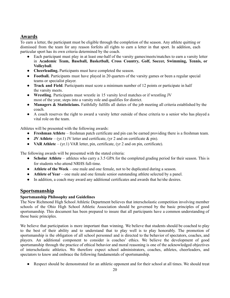## **Awards**

To earn a letter, the participant must be eligible through the completion of the season. Any athlete quitting or dismissed from the team for any reason forfeits all rights to earn a letter in that sport. In addition, each particular sport has its own criteria determined by the coach.

- Each participant must play in at least one-half of the varsity games/meets/matches to earn a varsity letter in **Academic Team, Baseball, Basketball, Cross Country, Golf, Soccer, Swimming, Tennis, or Volleyball**.
- **Cheerleading.** Participants must have completed the season.
- **Football.** Participants must have played in 20 quarters of the varsity games or been a regular special teams or specialist player.
- **Track and Field**. Participants must score a minimum number of 12 points or participate in half the varsity meets.
- **Wrestling**. Participants must wrestle in 15 varsity level matches or if wrestling JV most of the year, steps into a varsity role and qualifies for district.
- **Managers & Statisticians.** Faithfully fulfills all duties of the job meeting all criteria established by the coach.
- A coach reserves the right to award a varsity letter outside of these criteria to a senior who has played a vital role on the team.

Athletes will be presented with the following awards:

- **Freshman Athlete** freshman patch certificate and pin can be earned providing there is a freshman team.
- **JV Athlete** (yr.1) JV letter and certificate, (yr 2 and on certificate & pin).
- **VAR Athlete** (yr.1) VAR letter, pin, certificate, (yr 2 and on pin, certificate).

The following awards will be presented with the stated criteria:

- **Scholar Athlete** athletes who carry a 3.5 GPA for the completed grading period for their season. This is for students who attend NRHS full-time.
- **Athlete of the Week** one male and one female, not to be duplicated during a season.
- **Athlete of Year** one male and one female senior outstanding athlete selected by a panel.
- In addition, a coach may award any additional certificates and awards that he/she desires.

## **Sportsmanship**

#### **Sportsmanship Philosophy and Guidelines**

The New Richmond High School Athletic Department believes that interscholastic competition involving member schools of the Ohio High School Athletic Association should be governed by the basic principles of good sportsmanship. This document has been prepared to insure that all participants have a common understanding of those basic principles.

We believe that participation is more important than winning. We believe that students should be coached to play to the best of their ability and to understand that to play well is to play honorably. The promotion of sportsmanship is the obligation of all school personnel and is directed to the behavior of spectators, coaches, and players. An additional component to consider is coaches' ethics. We believe the development of good sportsmanship through the practice of ethical behavior and moral reasoning is one of the acknowledged objectives of interscholastic athletics. We therefore expect school administrators, coaches, athletes, cheerleaders, and spectators to know and embrace the following fundamentals of sportsmanship.

● Respect should be demonstrated for an athletic opponent and for their school at all times. We should treat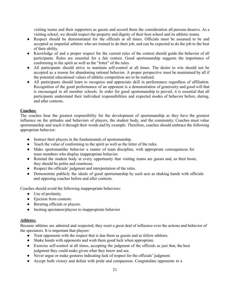visiting teams and their supporters as guests and accord them the consideration all persons deserve. As a visiting school, we should respect the property and dignity of their host school and its athletic teams.

- Respect should be demonstrated for the officials at all times. Officials must be assumed to be and accepted as impartial arbiters who are trained to do their job, and can be expected to do the job to the best of their ability.
- Knowledge of and a proper respect for the current rules of the contest should guide the behavior of all participants. Rules are essential for a fair contest. Good sportsmanship suggests the importance of conforming to the spirit as well as the "letter" of the rules.
- All participants should strive to maintain self-control at all times. The desire to win should not be accepted as a reason for abandoning rational behavior. A proper perspective must be maintained by all if the potential educational values of athletic competition are to be realized.
- All participants should learn to recognize and appreciate skill in performance regardless of affiliation. Recognition of the good performance of an opponent is a demonstration of generosity and good will that is encouraged in all member schools. In order for good sportsmanship to prevail, it is essential that all participants understand their individual responsibilities and expected modes of behavior before, during, and after contests.

#### **Coaches:**

The coaches bear the greatest responsibility for the development of sportsmanship as they have the greatest influence on the attitudes and behaviors of players, the student body, and the community. Coaches must value sportsmanship and teach it through their words and by example. Therefore, coaches should embrace the following appropriate behavior:

- Instruct their players in the fundamentals of sportsmanship.
- Teach the value of conforming to the spirit as well as the letter of the rules.
- Make sportsmanlike behavior a matter of team discipline, with appropriate consequences for team members who display inappropriate behavior.
- Remind the student body at every opportunity that visiting teams are guests and, as their hosts, they should be polite and courteous.
- Respect the officials' judgment and interpretation of the rules.
- Demonstrate publicly the ideals of good sportsmanship by such acts as shaking hands with officials and opposing coaches before and after contests.

Coaches should avoid the following inappropriate behaviors:

- Use of profanity.
- Ejection from contests.
- Berating officials or players.
- Inciting spectators/players to inappropriate behavior

#### **Athletes:**

Because athletes are admired and respected, they exert a great deal of influence over the actions and behavior of the spectators. It is important that players:

- Treat opponents with the respect that is due them as guests and as fellow athletes.
- Shake hands with opponents and wish them good luck when appropriate.
- Exercise self-control at all times, accepting the judgment of the officials as just that, the best judgment they could make given what they know and see.
- Never argue or make gestures indicating lack of respect for the officials' judgment.
- Accept both victory and defeat with pride and compassion. Congratulate opponents in a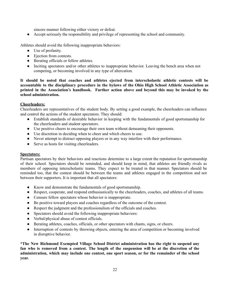sincere manner following either victory or defeat.

● Accept seriously the responsibility and privilege of representing the school and community.

Athletes should avoid the following inappropriate behaviors:

- Use of profanity.
- Ejection from contests.
- Berating officials or fellow athletes.
- Inciting spectators and/or other athletes to inappropriate behavior. Leaving the bench area when not competing, or becoming involved in any type of altercation.

**It should be noted that coaches and athletes ejected from interscholastic athletic contests will be accountable to the disciplinary procedure in the bylaws of the Ohio High School Athletic Association as printed in the Association's handbook. Further action above and beyond this may be invoked by the school administration.**

#### **Cheerleaders:**

Cheerleaders are representatives of the student body. By setting a good example, the cheerleaders can influence and control the actions of the student spectators. They should:

- Establish standards of desirable behavior in keeping with the fundamentals of good sportsmanship for the cheerleaders and student spectators.
- Use positive cheers to encourage their own team without demeaning their opponents.
- Use discretion in deciding when to cheer and which cheers to use.
- Never attempt to distract opposing players or in any way interfere with their performance.
- Serve as hosts for visiting cheerleaders.

#### **Spectators:**

Partisan spectators by their behaviors and reactions determine to a large extent the reputation for sportsmanship of their school. Spectators should be reminded, and should keep in mind, that athletes are friendly rivals as members of opposing interscholastic teams. They expect to be treated in that manner. Spectators should be reminded too, that the contest should be between the teams and athletes engaged in the competition and not between their supporters. It is important that all spectators:

- Know and demonstrate the fundamentals of good sportsmanship.
- Respect, cooperate, and respond enthusiastically to the cheerleaders, coaches, and athletes of all teams.
- Censure fellow spectators whose behavior is inappropriate.
- Be positive toward players and coaches regardless of the outcome of the contest.
- Respect the judgment and the professionalism of the officials and coaches.
- Spectators should avoid the following inappropriate behaviors:
- Verbal/physical abuse of contest officials.
- Berating athletes, coaches, officials, or other spectators with chants, signs, or cheers.
- Interruption of contests by throwing objects, entering the area of competition or becoming involved in disruptive behavior.

**\*The New Richmond Exempted Village School District administration has the right to suspend any** fan who is removed from a contest. The length of the suspension will be at the discretion of the **administration, which may include one contest, one sport season, or for the remainder of the school year.**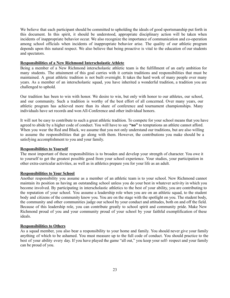We believe that each participant should be committed to upholding the ideals of good sportsmanship put forth in this document. In this spirit, it should be understood, appropriate disciplinary action will be taken when incidents of inappropriate behavior occur. We also recognize the importance of communication and co-operation among school officials when incidents of inappropriate behavior arise. The quality of our athletic program depends upon this natural respect. We also believe that being proactive is vital to the education of our students and spectators.

#### **Responsibilities of a New Richmond Interscholastic Athlete**

Being a member of a New Richmond interscholastic athletic team is the fulfillment of an early ambition for many students. The attainment of this goal carries with it certain traditions and responsibilities that must be maintained. A great athletic tradition is not built overnight. It takes the hard work of many people over many years. As a member of an interscholastic squad, you have inherited a wonderful tradition, a tradition you are challenged to uphold.

Our tradition has been to win with honor. We desire to win, but only with honor to our athletes, our school, and our community. Such a tradition is worthy of the best effort of all concerned. Over many years, our athletic program has achieved more than its share of conference and tournament championships. Many individuals have set records and won All-Conference and other individual honors.

It will not be easy to contribute to such a great athletic tradition. To compete for your school means that you have agreed to abide by a higher code of conduct. You will have to say **"no"** to temptations an athlete cannot afford. When you wear the Red and Black, we assume that you not only understand our traditions, but are also willing to assume the responsibilities that go along with them. However, the contributions you make should be a satisfying accomplishment to you and your family.

#### **Responsibilities to Yourself**

The most important of these responsibilities is to broaden and develop your strength of character. You owe it to yourself to get the greatest possible good from your school experience. Your studies, your participation in other extra-curricular activities, as well as in athletics prepare you for your life as an adult.

#### **Responsibilities to Your School**

Another responsibility you assume as a member of an athletic team is to your school. New Richmond cannot maintain its position as having an outstanding school unless you do your best in whatever activity in which you become involved. By participating in interscholastic athletics to the best of your ability, you are contributing to the reputation of your school. You assume a leadership role when you are on an athletic squad, to the student body and citizens of the community know you. You are on the stage with the spotlight on you. The student body, the community and other communities judge our school by your conduct and attitudes, both on and off the field. Because of this leadership role, you can contribute greatly to school spirit and community pride. Make New Richmond proud of you and your community proud of your school by your faithful exemplification of these ideals.

#### **Responsibilities to Others**

As a squad member, you also bear a responsibility to your home and family. You should never give your family anything of which to be ashamed. You must measure up to the full code of conduct. You should practice to the best of your ability every day. If you have played the game "all out," you keep your self- respect and your family can be proud of you.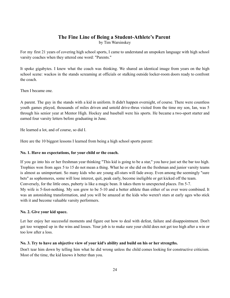#### **The Fine Line of Being a Student-Athlete's Parent**

by Tim Warsinskey

For my first 21 years of covering high school sports, I came to understand an unspoken language with high school varsity coaches when they uttered one word: "Parents."

It spoke gigabytes. I knew what the coach was thinking. We shared an identical image from years on the high school scene: wackos in the stands screaming at officials or stalking outside locker-room doors ready to confront the coach.

Then I became one.

A parent. The guy in the stands with a kid in uniform. It didn't happen overnight, of course. There were countless youth games played, thousands of miles driven and untold drive-thrus visited from the time my son, Ian, was 5 through his senior year at Mentor High. Hockey and baseball were his sports. He became a two-sport starter and earned four varsity letters before graduating in June.

He learned a lot, and of course, so did I.

Here are the 10 biggest lessons I learned from being a high school sports parent:

#### **No. 1. Have no expectations, for your child or the coach.**

If you go into his or her freshman year thinking "This kid is going to be a star," you have just set the bar too high. Trophies won from ages 5 to 15 do not mean a thing. What he or she did on the freshman and junior varsity teams is almost as unimportant. So many kids who are young all-stars will fade away. Even among the seemingly "sure bets" as sophomores, some will lose interest, quit, peak early, become ineligible or get kicked off the team. Conversely, for the little ones, puberty is like a magic bean. It takes them to unexpected places. I'm 5-7. My wife is 5-foot-nothing. My son grew to be 5-10 and a better athlete than either of us ever were combined. It was an astonishing transformation, and you will be amazed at the kids who weren't stars at early ages who stick with it and become valuable varsity performers.

#### **No. 2. Give your kid space.**

Let her enjoy her successful moments and figure out how to deal with defeat, failure and disappointment. Don't get too wrapped up in the wins and losses. Your job is to make sure your child does not get too high after a win or too low after a loss.

#### No. 3. Try to have an objective view of your kid's ability and build on his or her strengths.

Don't tear him down by telling him what he did wrong unless the child comes looking for constructive criticism. Most of the time, the kid knows it better than you.